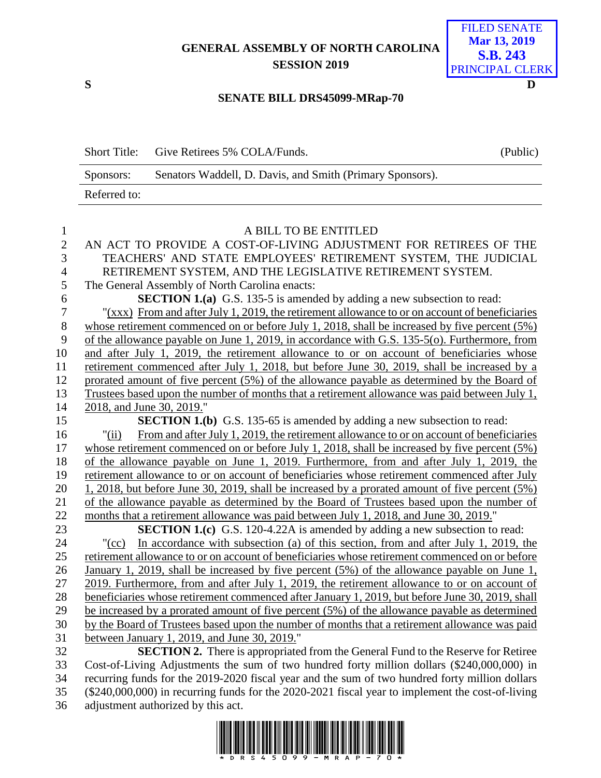## **GENERAL ASSEMBLY OF NORTH CAROLINA SESSION 2019**



## **SENATE BILL DRS45099-MRap-70**

| <b>Short Title:</b> | Give Retirees 5% COLA/Funds.                              | (Public) |
|---------------------|-----------------------------------------------------------|----------|
| Sponsors:           | Senators Waddell, D. Davis, and Smith (Primary Sponsors). |          |
| Referred to:        |                                                           |          |

| $\mathbf{1}$   | A BILL TO BE ENTITLED                                                                                 |
|----------------|-------------------------------------------------------------------------------------------------------|
| $\overline{2}$ | AN ACT TO PROVIDE A COST-OF-LIVING ADJUSTMENT FOR RETIREES OF THE                                     |
| $\overline{3}$ | TEACHERS' AND STATE EMPLOYEES' RETIREMENT SYSTEM, THE JUDICIAL                                        |
| $\overline{4}$ | RETIREMENT SYSTEM, AND THE LEGISLATIVE RETIREMENT SYSTEM.                                             |
| 5              | The General Assembly of North Carolina enacts:                                                        |
| 6              | <b>SECTION 1.(a)</b> G.S. 135-5 is amended by adding a new subsection to read:                        |
| $\overline{7}$ | "(xxx) From and after July 1, 2019, the retirement allowance to or on account of beneficiaries        |
| $8\,$          | whose retirement commenced on or before July 1, 2018, shall be increased by five percent $(5\%)$      |
| 9              | of the allowance payable on June 1, 2019, in accordance with G.S. 135-5(o). Furthermore, from         |
| 10             | and after July 1, 2019, the retirement allowance to or on account of beneficiaries whose              |
| 11             | retirement commenced after July 1, 2018, but before June 30, 2019, shall be increased by a            |
| 12             | prorated amount of five percent (5%) of the allowance payable as determined by the Board of           |
| 13             | Trustees based upon the number of months that a retirement allowance was paid between July 1,         |
| 14             | 2018, and June 30, 2019."                                                                             |
| 15             | <b>SECTION 1.(b)</b> G.S. 135-65 is amended by adding a new subsection to read:                       |
| 16             | From and after July 1, 2019, the retirement allowance to or on account of beneficiaries<br>"(ii)      |
| 17             | whose retirement commenced on or before July 1, 2018, shall be increased by five percent $(5\%)$      |
| 18             | of the allowance payable on June 1, 2019. Furthermore, from and after July 1, 2019, the               |
| 19             | retirement allowance to or on account of beneficiaries whose retirement commenced after July          |
| 20             | 1, 2018, but before June 30, 2019, shall be increased by a prorated amount of five percent (5%)       |
| 21             | of the allowance payable as determined by the Board of Trustees based upon the number of              |
| 22             | months that a retirement allowance was paid between July 1, 2018, and June 30, 2019."                 |
| 23             | <b>SECTION 1.(c)</b> G.S. 120-4.22A is amended by adding a new subsection to read:                    |
| 24             | In accordance with subsection (a) of this section, from and after July 1, 2019, the<br>$"({\rm cc})"$ |
| 25             | retirement allowance to or on account of beneficiaries whose retirement commenced on or before        |
| 26             | January 1, 2019, shall be increased by five percent (5%) of the allowance payable on June 1,          |
| 27             | 2019. Furthermore, from and after July 1, 2019, the retirement allowance to or on account of          |
| 28             | beneficiaries whose retirement commenced after January 1, 2019, but before June 30, 2019, shall       |
| 29             | be increased by a prorated amount of five percent (5%) of the allowance payable as determined         |
| 30             | by the Board of Trustees based upon the number of months that a retirement allowance was paid         |
| 31             | between January 1, 2019, and June 30, 2019."                                                          |
| 32             | <b>SECTION 2.</b> There is appropriated from the General Fund to the Reserve for Retiree              |
| 33             | Cost-of-Living Adjustments the sum of two hundred forty million dollars (\$240,000,000) in            |
| 34             | recurring funds for the 2019-2020 fiscal year and the sum of two hundred forty million dollars        |
| 35             | (\$240,000,000) in recurring funds for the 2020-2021 fiscal year to implement the cost-of-living      |
| 36             | adjustment authorized by this act.                                                                    |